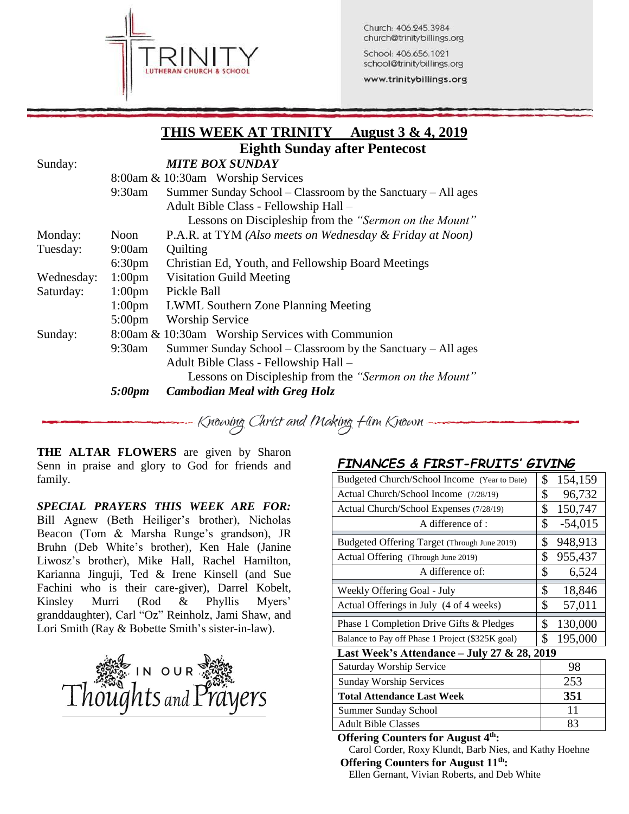

Church: 406.245.3984 church@trinitybillings.org

School: 406.656.1021 school@trinitybillings.org

www.trinitybillings.org

|            |                    | THIS WEEK AT TRINITY<br><u>August 3 &amp; 4, 2019</u>        |
|------------|--------------------|--------------------------------------------------------------|
|            |                    | <b>Eighth Sunday after Pentecost</b>                         |
| Sunday:    |                    | <b>MITE BOX SUNDAY</b>                                       |
|            |                    | 8:00am & 10:30am Worship Services                            |
|            | 9:30am             | Summer Sunday School – Classroom by the Sanctuary – All ages |
|            |                    | Adult Bible Class - Fellowship Hall -                        |
|            |                    | Lessons on Discipleship from the "Sermon on the Mount"       |
| Monday:    | Noon               | P.A.R. at TYM (Also meets on Wednesday & Friday at Noon)     |
| Tuesday:   | 9:00am             | Quilting                                                     |
|            | 6:30 <sub>pm</sub> | Christian Ed, Youth, and Fellowship Board Meetings           |
| Wednesday: | 1:00 <sub>pm</sub> | <b>Visitation Guild Meeting</b>                              |
| Saturday:  | $1:00 \text{pm}$   | Pickle Ball                                                  |
|            | 1:00 <sub>pm</sub> | <b>LWML Southern Zone Planning Meeting</b>                   |
|            | $5:00 \text{pm}$   | <b>Worship Service</b>                                       |
| Sunday:    |                    | 8:00am & 10:30am Worship Services with Communion             |
|            | $9:30$ am          | Summer Sunday School – Classroom by the Sanctuary – All ages |
|            |                    | Adult Bible Class - Fellowship Hall -                        |
|            |                    | Lessons on Discipleship from the "Sermon on the Mount"       |
|            | 5:00pm             | <b>Cambodian Meal with Greg Holz</b>                         |

**THE ALTAR FLOWERS** are given by Sharon Senn in praise and glory to God for friends and family.

*SPECIAL PRAYERS THIS WEEK ARE FOR:* Bill Agnew (Beth Heiliger's brother), Nicholas Beacon (Tom & Marsha Runge's grandson), JR Bruhn (Deb White's brother), Ken Hale (Janine Liwosz's brother), Mike Hall, Rachel Hamilton, Karianna Jinguji, Ted & Irene Kinsell (and Sue Fachini who is their care-giver), Darrel Kobelt, Kinsley Murri (Rod & Phyllis Myers' granddaughter), Carl "Oz" Reinholz, Jami Shaw, and Lori Smith (Ray & Bobette Smith's sister-in-law).



## *FINANCES & FIRST-FRUITS' GIVING*

| Budgeted Church/School Income (Year to Date)     | \$ | 154,159   |  |  |  |
|--------------------------------------------------|----|-----------|--|--|--|
| Actual Church/School Income (7/28/19)            | \$ | 96,732    |  |  |  |
| Actual Church/School Expenses (7/28/19)          | \$ | 150,747   |  |  |  |
| A difference of :                                | \$ | $-54,015$ |  |  |  |
| Budgeted Offering Target (Through June 2019)     | \$ | 948,913   |  |  |  |
| Actual Offering (Through June 2019)              | \$ | 955,437   |  |  |  |
| A difference of:                                 | \$ | 6,524     |  |  |  |
| Weekly Offering Goal - July                      | \$ | 18,846    |  |  |  |
| Actual Offerings in July (4 of 4 weeks)          | \$ | 57,011    |  |  |  |
| Phase 1 Completion Drive Gifts & Pledges         | \$ | 130,000   |  |  |  |
| Balance to Pay off Phase 1 Project (\$325K goal) | \$ | 195,000   |  |  |  |
| Last Week's Attendance - July 27 & 28, 2019      |    |           |  |  |  |

Saturday Worship Service 198 Sunday Worship Services 253 **Total Attendance Last Week 351** Summer Sunday School 11 Adult Bible Classes 23

**Offering Counters for August 4th:** Carol Corder, Roxy Klundt, Barb Nies, and Kathy Hoehne

## **Offering Counters for August 11th:**

Ellen Gernant, Vivian Roberts, and Deb White